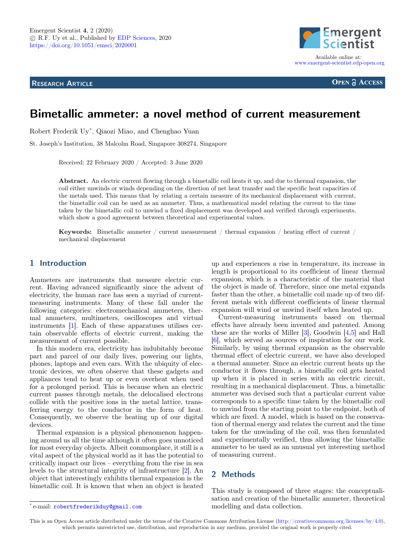<span id="page-0-0"></span>**RESEARCH ARTICLE**



**OPEN A ACCESS** 

# **Bimetallic ammeter: a novel method of current measurement**

Robert Frederik Uy\*, Qiaozi Miao, and Chenghao Yuan

St. Joseph's Institution, 38 Malcolm Road, Singapore 308274, Singapore

Received: 22 February 2020 / Accepted: 3 June 2020

**Abstract.** An electric current flowing through a bimetallic coil heats it up, and due to thermal expansion, the coil either unwinds or winds depending on the direction of net heat transfer and the specific heat capacities of the metals used. This means that by relating a certain measure of its mechanical displacement with current, the bimetallic coil can be used as an ammeter. Thus, a mathematical model relating the current to the time taken by the bimetallic coil to unwind a fixed displacement was developed and verified through experiments, which show a good agreement between theoretical and experimental values.

**Keywords:** Bimetallic ammeter / current measurement / thermal expansion / heating effect of current / mechanical displacement

# **1 Introduction**

Ammeters are instruments that measure electric current. Having advanced significantly since the advent of electricity, the human race has seen a myriad of currentmeasuring instruments. Many of these fall under the following categories: electromechanical ammeters, thermal ammeters, multimeters, oscilloscopes and virtual instruments [\[1\]](#page-6-0). Each of these apparatuses utilises certain observable effects of electric current, making the measurement of current possible.

In this modern era, electricity has indubitably become part and parcel of our daily lives, powering our lights, phones, laptops and even cars. With the ubiquity of electronic devices, we often observe that these gadgets and appliances tend to heat up or even overheat when used for a prolonged period. This is because when an electric current passes through metals, the delocalised electrons collide with the positive ions in the metal lattice, transferring energy to the conductor in the form of heat. Consequently, we observe the heating up of our digital devices.

Thermal expansion is a physical phenomenon happening around us all the time although it often goes unnoticed for most everyday objects. Albeit commonplace, it still is a vital aspect of the physical world as it has the potential to critically impact our lives – everything from the rise in sea levels to the structural integrity of infrastructure [\[2\]](#page-6-1). An object that interestingly exhibits thermal expansion is the bimetallic coil. It is known that when an object is heated up and experiences a rise in temperature, its increase in length is proportional to its coefficient of linear thermal expansion, which is a characteristic of the material that the object is made of. Therefore, since one metal expands faster than the other, a bimetallic coil made up of two different metals with different coefficients of linear thermal expansion will wind or unwind itself when heated up.

Current-measuring instruments based on thermal effects have already been invented and patented. Among these are the works of Miller [\[3\]](#page-6-2), Goodwin [\[4,](#page-6-3)[5\]](#page-6-4) and Hall [\[6\]](#page-6-5), which served as sources of inspiration for our work. Similarly, by using thermal expansion as the observable thermal effect of electric current, we have also developed a thermal ammeter. Since an electric current heats up the conductor it flows through, a bimetallic coil gets heated up when it is placed in series with an electric circuit, resulting in a mechanical displacement. Thus, a bimetallic ammeter was devised such that a particular current value corresponds to a specific time taken by the bimetallic coil to unwind from the starting point to the endpoint, both of which are fixed. A model, which is based on the conservation of thermal energy and relates the current and the time taken for the unwinding of the coil, was then formulated and experimentally verified, thus allowing the bimetallic ammeter to be used as an unusual yet interesting method of measuring current.

# **2 Methods**

This study is composed of three stages: the conceptualisation and creation of the bimetallic ammeter, theoretical modelling and data collection.

This is an Open Access article distributed under the terms of the Creative Commons Attribution License [\(http://creativecommons.org/licenses/by/4.0\)](http://creativecommons.org/licenses/by/4.0), which permits unrestricted use, distribution, and reproduction in any medium, provided the original work is properly cited.

<sup>\*</sup> e-mail: [robertfrederikduy@gmail.com](mailto:robertfrederikduy@gmail.com)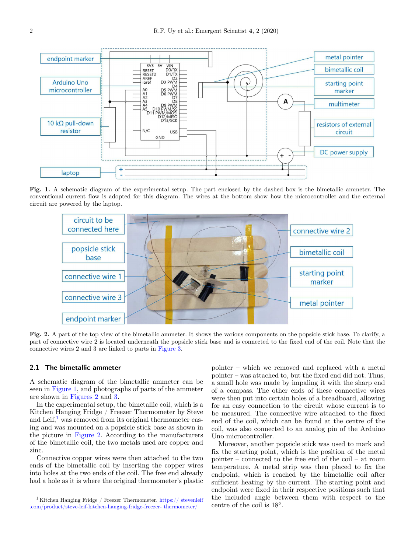

**Fig. 1.** A schematic diagram of the experimental setup. The part enclosed by the dashed box is the bimetallic ammeter. The conventional current flow is adopted for this diagram. The wires at the bottom show how the microcontroller and the external circuit are powered by the laptop.

<span id="page-1-0"></span>

<span id="page-1-1"></span>**Fig. 2.** A part of the top view of the bimetallic ammeter. It shows the various components on the popsicle stick base. To clarify, a part of connective wire 2 is located underneath the popsicle stick base and is connected to the fixed end of the coil. Note that the connective wires 2 and 3 are linked to parts in [Figure 3.](#page-2-0)

#### **2.1 The bimetallic ammeter**

A schematic diagram of the bimetallic ammeter can be seen in [Figure](#page-0-0) [1,](#page-1-0) and photographs of parts of the ammeter are shown in [Figures](#page-0-0) [2](#page-1-1) and [3.](#page-2-0)

In the experimental setup, the bimetallic coil, which is a Kitchen Hanging Fridge / Freezer Thermometer by Steve and Leif, $<sup>1</sup>$  $<sup>1</sup>$  $<sup>1</sup>$  was removed from its original thermometer cas-</sup> ing and was mounted on a popsicle stick base as shown in the picture in [Figure](#page-0-0) [2.](#page-1-1) According to the manufacturers of the bimetallic coil, the two metals used are copper and zinc.

Connective copper wires were then attached to the two ends of the bimetallic coil by inserting the copper wires into holes at the two ends of the coil. The free end already had a hole as it is where the original thermometer's plastic

pointer – which we removed and replaced with a metal pointer – was attached to, but the fixed end did not. Thus, a small hole was made by impaling it with the sharp end of a compass. The other ends of these connective wires were then put into certain holes of a breadboard, allowing for an easy connection to the circuit whose current is to be measured. The connective wire attached to the fixed end of the coil, which can be found at the centre of the coil, was also connected to an analog pin of the Arduino Uno microcontroller.

Moreover, another popsicle stick was used to mark and fix the starting point, which is the position of the metal pointer – connected to the free end of the coil – at room temperature. A metal strip was then placed to fix the endpoint, which is reached by the bimetallic coil after sufficient heating by the current. The starting point and endpoint were fixed in their respective positions such that the included angle between them with respect to the centre of the coil is 18◦ .

<span id="page-1-2"></span> $^1$  Kitchen Hanging Fridge / Freezer Thermometer. [https:// stevenleif](https://stevenleif.com/product/steve-leif-kitchen-hanging-fridge-freezer-thermometer/) [.com/product/steve-leif-kitchen-hanging-fridge-freezer- thermometer/](https://stevenleif.com/product/steve-leif-kitchen-hanging-fridge-freezer-thermometer/)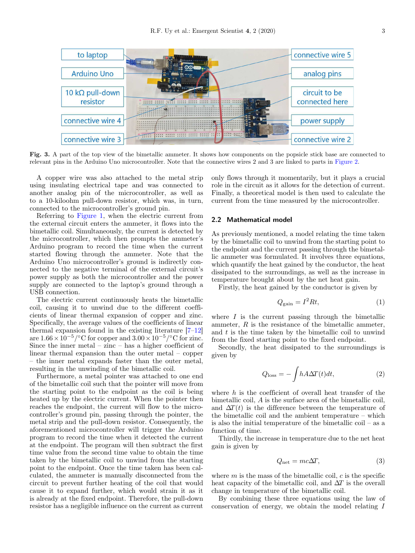

<span id="page-2-0"></span>Fig. 3. A part of the top view of the bimetallic ammeter. It shows how components on the popsicle stick base are connected to relevant pins in the Arduino Uno microcontroller. Note that the connective wires 2 and 3 are linked to parts in [Figure 2.](#page-1-1)

A copper wire was also attached to the metal strip using insulating electrical tape and was connected to another analog pin of the microcontroller, as well as to a 10-kiloohm pull-down resistor, which was, in turn, connected to the microcontroller's ground pin.

Referring to [Figure](#page-0-0) [1,](#page-1-0) when the electric current from the external circuit enters the ammeter, it flows into the bimetallic coil. Simultaneously, the current is detected by the microcontroller, which then prompts the ammeter's Arduino program to record the time when the current started flowing through the ammeter. Note that the Arduino Uno microcontroller's ground is indirectly connected to the negative terminal of the external circuit's power supply as both the microcontroller and the power supply are connected to the laptop's ground through a USB connection.

The electric current continuously heats the bimetallic coil, causing it to unwind due to the different coefficients of linear thermal expansion of copper and zinc. Specifically, the average values of the coefficients of linear thermal expansion found in the existing literature [\[7–](#page-6-6)[12\]](#page-6-7) are  $1.66 \times 10^{-5} / \textdegree$ C for copper and  $3.00 \times 10^{-5} / \textdegree$ C for zinc. Since the inner metal – zinc – has a higher coefficient of linear thermal expansion than the outer metal – copper – the inner metal expands faster than the outer metal, resulting in the unwinding of the bimetallic coil.

Furthermore, a metal pointer was attached to one end of the bimetallic coil such that the pointer will move from the starting point to the endpoint as the coil is being heated up by the electric current. When the pointer then reaches the endpoint, the current will flow to the microcontroller's ground pin, passing through the pointer, the metal strip and the pull-down resistor. Consequently, the aforementioned microcontroller will trigger the Arduino program to record the time when it detected the current at the endpoint. The program will then subtract the first time value from the second time value to obtain the time taken by the bimetallic coil to unwind from the starting point to the endpoint. Once the time taken has been calculated, the ammeter is manually disconnected from the circuit to prevent further heating of the coil that would cause it to expand further, which would strain it as it is already at the fixed endpoint. Therefore, the pull-down resistor has a negligible influence on the current as current

only flows through it momentarily, but it plays a crucial role in the circuit as it allows for the detection of current. Finally, a theoretical model is then used to calculate the current from the time measured by the microcontroller.

## **2.2 Mathematical model**

As previously mentioned, a model relating the time taken by the bimetallic coil to unwind from the starting point to the endpoint and the current passing through the bimetallic ammeter was formulated. It involves three equations, which quantify the heat gained by the conductor, the heat dissipated to the surroundings, as well as the increase in temperature brought about by the net heat gain.

Firstly, the heat gained by the conductor is given by

$$
Q_{\text{gain}} = I^2 R t,\tag{1}
$$

where  $I$  is the current passing through the bimetallic ammeter,  $R$  is the resistance of the bimetallic ammeter, and  $t$  is the time taken by the bimetallic coil to unwind from the fixed starting point to the fixed endpoint.

Secondly, the heat dissipated to the surroundings is given by

<span id="page-2-1"></span>
$$
Q_{\text{loss}} = -\int h A \Delta T(t) dt, \qquad (2)
$$

where  $h$  is the coefficient of overall heat transfer of the bimetallic coil, A is the surface area of the bimetallic coil, and  $\Delta T(t)$  is the difference between the temperature of the bimetallic coil and the ambient temperature – which is also the initial temperature of the bimetallic coil – as a function of time.

Thirdly, the increase in temperature due to the net heat gain is given by

$$
Q_{\text{net}} = mc\Delta T,\tag{3}
$$

where  $m$  is the mass of the bimetallic coil,  $c$  is the specific heat capacity of the bimetallic coil, and  $\Delta T$  is the overall change in temperature of the bimetallic coil.

By combining these three equations using the law of conservation of energy, we obtain the model relating I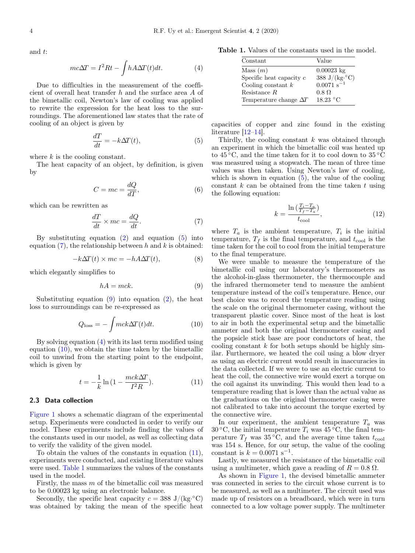and t:

<span id="page-3-3"></span>
$$
mc\Delta T = I^2 R t - \int h A \Delta T(t) dt.
$$
 (4)

Due to difficulties in the measurement of the coefficient of overall heat transfer h and the surface area A of the bimetallic coil, Newton's law of cooling was applied to rewrite the expression for the heat loss to the surroundings. The aforementioned law states that the rate of cooling of an object is given by

<span id="page-3-0"></span>
$$
\frac{dT}{dt} = -k\Delta T(t),\tag{5}
$$

where  $k$  is the cooling constant.

The heat capacity of an object, by definition, is given by

$$
C = mc = \frac{dQ}{dT},
$$
\n(6)

which can be rewritten as

<span id="page-3-1"></span>
$$
\frac{dT}{dt} \times mc = \frac{dQ}{dt}.\tag{7}
$$

By substituting equation [\(2\)](#page-2-1) and equation [\(5\)](#page-3-0) into equation  $(7)$ , the relationship between h and k is obtained:

$$
-k\Delta T(t) \times mc = -hA\Delta T(t),\tag{8}
$$

which elegantly simplifies to

<span id="page-3-2"></span>
$$
hA = mck.\t\t(9)
$$

Substituting equation  $(9)$  into equation  $(2)$ , the heat loss to surroundings can be re-expressed as

<span id="page-3-4"></span>
$$
Q_{\text{loss}} = -\int mck\Delta T(t)dt.
$$
 (10)

By solving equation [\(4\)](#page-3-3) with its last term modified using equation  $(10)$ , we obtain the time taken by the bimetallic coil to unwind from the starting point to the endpoint, which is given by

<span id="page-3-5"></span>
$$
t = -\frac{1}{k} \ln\left(1 - \frac{mck\Delta T}{I^2 R}\right).
$$
 (11)

## **2.3 Data collection**

[Figure](#page-0-0) [1](#page-1-0) shows a schematic diagram of the experimental setup. Experiments were conducted in order to verify our model. These experiments include finding the values of the constants used in our model, as well as collecting data to verify the validity of the given model.

To obtain the values of the constants in equation [\(11\)](#page-3-5), experiments were conducted, and existing literature values were used. [Table 1](#page-3-6) summarizes the values of the constants used in the model.

Firstly, the mass  $m$  of the bimetallic coil was measured to be 0.00023 kg using an electronic balance.

Secondly, the specific heat capacity  $c = 388 \text{ J/(kg} \cdot ^{\circ}\text{C})$ was obtained by taking the mean of the specific heat

**Table 1.** Values of the constants used in the model.

<span id="page-3-6"></span>

| Constant                      | Value                       |
|-------------------------------|-----------------------------|
| Mass $(m)$                    | $0.00023 \text{ kg}$        |
| Specific heat capacity $c$    | 388 J/(kg. $\rm ^{\circ}C)$ |
| Cooling constant $k$          | $0.0071$ s <sup>-1</sup>    |
| Resistance $R$                | $0.8 \Omega$                |
| Temperature change $\Delta T$ | 18.23 °C                    |

capacities of copper and zinc found in the existing literature [\[12–](#page-6-7)[14\]](#page-6-8).

Thirdly, the cooling constant  $k$  was obtained through an experiment in which the bimetallic coil was heated up to  $45\,^{\circ}\text{C}$ , and the time taken for it to cool down to  $35\,^{\circ}\text{C}$ was measured using a stopwatch. The mean of three time values was then taken. Using Newton's law of cooling, which is shown in equation  $(5)$ , the value of the cooling constant  $k$  can be obtained from the time taken  $t$  using the following equation:

$$
k = \frac{\ln\left(\frac{T_i - T_a}{T_f - T_a}\right)}{t_{\text{cool}}},\tag{12}
$$

where  $T_a$  is the ambient temperature,  $T_i$  is the initial temperature,  $T_f$  is the final temperature, and  $t_{\text{cool}}$  is the time taken for the coil to cool from the initial temperature to the final temperature.

We were unable to measure the temperature of the bimetallic coil using our laboratory's thermometers as the alcohol-in-glass thermometer, the thermocouple and the infrared thermometer tend to measure the ambient temperature instead of the coil's temperature. Hence, our best choice was to record the temperature reading using the scale on the original thermometer casing, without the transparent plastic cover. Since most of the heat is lost to air in both the experimental setup and the bimetallic ammeter and both the original thermometer casing and the popsicle stick base are poor conductors of heat, the cooling constant  $k$  for both setups should be highly similar. Furthermore, we heated the coil using a blow dryer as using an electric current would result in inaccuracies in the data collected. If we were to use an electric current to heat the coil, the connective wire would exert a torque on the coil against its unwinding. This would then lead to a temperature reading that is lower than the actual value as the graduations on the original thermometer casing were not calibrated to take into account the torque exerted by the connective wire.

In our experiment, the ambient temperature  $T_a$  was 30 °C, the initial temperature  $T_i$  was 45 °C, the final temperature  $T_f$  was 35 °C, and the average time taken  $t_{\text{cool}}$ was 154 s. Hence, for our setup, the value of the cooling constant is  $k = 0.0071$  s<sup>-1</sup>.

Lastly, we measured the resistance of the bimetallic coil using a multimeter, which gave a reading of  $R = 0.8 \Omega$ .

As shown in [Figure](#page-0-0) [1,](#page-1-0) the devised bimetallic ammeter was connected in series to the circuit whose current is to be measured, as well as a multimeter. The circuit used was made up of resistors on a breadboard, which were in turn connected to a low voltage power supply. The multimeter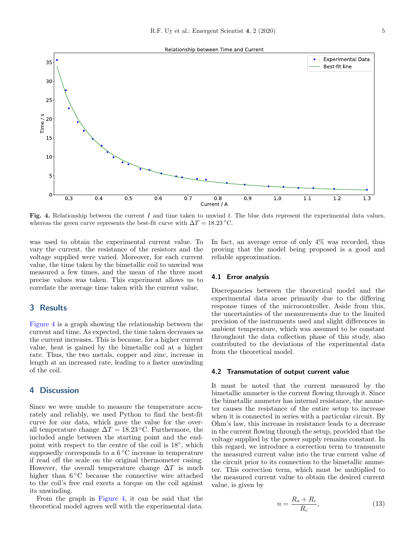



<span id="page-4-0"></span>Fig. 4. Relationship between the current I and time taken to unwind t. The blue dots represent the experimental data values, whereas the green curve represents the best-fit curve with  $\Delta T = 18.23 \text{ °C}$ .

was used to obtain the experimental current value. To vary the current, the resistance of the resistors and the voltage supplied were varied. Moreover, for each current value, the time taken by the bimetallic coil to unwind was measured a few times, and the mean of the three most precise values was taken. This experiment allows us to correlate the average time taken with the current value.

## **3 Results**

[Figure](#page-0-0) [4](#page-4-0) is a graph showing the relationship between the current and time. As expected, the time taken decreases as the current increases. This is because, for a higher current value, heat is gained by the bimetallic coil at a higher rate. Thus, the two metals, copper and zinc, increase in length at an increased rate, leading to a faster unwinding of the coil.

# **4 Discussion**

Since we were unable to measure the temperature accurately and reliably, we used Python to find the best-fit curve for our data, which gave the value for the overall temperature change  $\Delta T = 18.23$  °C. Furthermore, the included angle between the starting point and the endpoint with respect to the centre of the coil is  $18°$ , which supposedly corresponds to a  $6^{\circ}$ C increase in temperature if read off the scale on the original thermometer casing. However, the overall temperature change  $\Delta T$  is much higher than 6 °C because the connective wire attached to the coil's free end exerts a torque on the coil against its unwinding.

From the graph in [Figure](#page-0-0) [4,](#page-4-0) it can be said that the theoretical model agrees well with the experimental data.

In fact, an average error of only  $4\%$  was recorded, thus proving that the model being proposed is a good and reliable approximation.

#### **4.1 Error analysis**

Discrepancies between the theoretical model and the experimental data arose primarily due to the differing response times of the microcontroller. Aside from this, the uncertainties of the measurements due to the limited precision of the instruments used and slight differences in ambient temperature, which was assumed to be constant throughout the data collection phase of this study, also contributed to the deviations of the experimental data from the theoretical model.

#### **4.2 Transmutation of output current value**

It must be noted that the current measured by the bimetallic ammeter is the current flowing through it. Since the bimetallic ammeter has internal resistance, the ammeter causes the resistance of the entire setup to increase when it is connected in series with a particular circuit. By Ohm's law, this increase in resistance leads to a decrease in the current flowing through the setup, provided that the voltage supplied by the power supply remains constant. In this regard, we introduce a correction term to transmute the measured current value into the true current value of the circuit prior to its connection to the bimetallic ammeter. This correction term, which must be multiplied to the measured current value to obtain the desired current value, is given by

$$
n = \frac{R_a + R_c}{R_c},\tag{13}
$$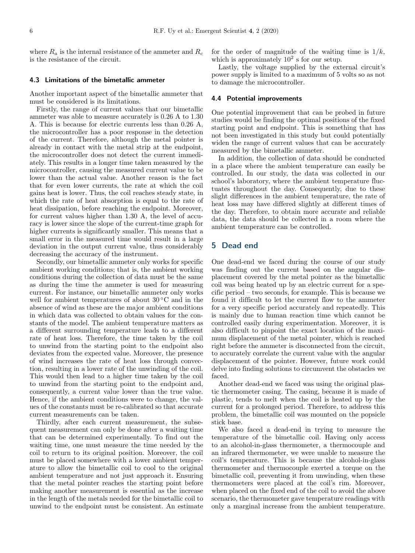where  $R_a$  is the internal resistance of the ammeter and  $R_c$ is the resistance of the circuit.

#### **4.3 Limitations of the bimetallic ammeter**

Another important aspect of the bimetallic ammeter that must be considered is its limitations.

Firstly, the range of current values that our bimetallic ammeter was able to measure accurately is 0.26 A to 1.30 A. This is because for electric currents less than 0.26 A, the microcontroller has a poor response in the detection of the current. Therefore, although the metal pointer is already in contact with the metal strip at the endpoint, the microcontroller does not detect the current immediately. This results in a longer time taken measured by the microcontroller, causing the measured current value to be lower than the actual value. Another reason is the fact that for even lower currents, the rate at which the coil gains heat is lower. Thus, the coil reaches steady state, in which the rate of heat absorption is equal to the rate of heat dissipation, before reaching the endpoint. Moreover, for current values higher than 1.30 A, the level of accuracy is lower since the slope of the current-time graph for higher currents is significantly smaller. This means that a small error in the measured time would result in a large deviation in the output current value, thus considerably decreasing the accuracy of the instrument.

Secondly, our bimetallic ammeter only works for specific ambient working conditions; that is, the ambient working conditions during the collection of data must be the same as during the time the ammeter is used for measuring current. For instance, our bimetallic ammeter only works well for ambient temperatures of about  $30\degree\text{C}$  and in the absence of wind as these are the major ambient conditions in which data was collected to obtain values for the constants of the model. The ambient temperature matters as a different surrounding temperature leads to a different rate of heat loss. Therefore, the time taken by the coil to unwind from the starting point to the endpoint also deviates from the expected value. Moreover, the presence of wind increases the rate of heat loss through convection, resulting in a lower rate of the unwinding of the coil. This would then lead to a higher time taken by the coil to unwind from the starting point to the endpoint and, consequently, a current value lower than the true value. Hence, if the ambient conditions were to change, the values of the constants must be re-calibrated so that accurate current measurements can be taken.

Thirdly, after each current measurement, the subsequent measurement can only be done after a waiting time that can be determined experimentally. To find out the waiting time, one must measure the time needed by the coil to return to its original position. Moreover, the coil must be placed somewhere with a lower ambient temperature to allow the bimetallic coil to cool to the original ambient temperature and not just approach it. Ensuring that the metal pointer reaches the starting point before making another measurement is essential as the increase in the length of the metals needed for the bimetallic coil to unwind to the endpoint must be consistent. An estimate

for the order of magnitude of the waiting time is  $1/k$ , which is approximately  $10^2$  s for our setup.

Lastly, the voltage supplied by the external circuit's power supply is limited to a maximum of 5 volts so as not to damage the microcontroller.

#### **4.4 Potential improvements**

One potential improvement that can be probed in future studies would be finding the optimal positions of the fixed starting point and endpoint. This is something that has not been investigated in this study but could potentially widen the range of current values that can be accurately measured by the bimetallic ammeter.

In addition, the collection of data should be conducted in a place where the ambient temperature can easily be controlled. In our study, the data was collected in our school's laboratory, where the ambient temperature fluctuates throughout the day. Consequently, due to these slight differences in the ambient temperature, the rate of heat loss may have differed slightly at different times of the day. Therefore, to obtain more accurate and reliable data, the data should be collected in a room where the ambient temperature can be controlled.

## **5 Dead end**

One dead-end we faced during the course of our study was finding out the current based on the angular displacement covered by the metal pointer as the bimetallic coil was being heated up by an electric current for a specific period – two seconds, for example. This is because we found it difficult to let the current flow to the ammeter for a very specific period accurately and repeatedly. This is mainly due to human reaction time which cannot be controlled easily during experimentation. Moreover, it is also difficult to pinpoint the exact location of the maximum displacement of the metal pointer, which is reached right before the ammeter is disconnected from the circuit, to accurately correlate the current value with the angular displacement of the pointer. However, future work could delve into finding solutions to circumvent the obstacles we faced.

Another dead-end we faced was using the original plastic thermometer casing. The casing, because it is made of plastic, tends to melt when the coil is heated up by the current for a prolonged period. Therefore, to address this problem, the bimetallic coil was mounted on the popsicle stick base.

We also faced a dead-end in trying to measure the temperature of the bimetallic coil. Having only access to an alcohol-in-glass thermometer, a thermocouple and an infrared thermometer, we were unable to measure the coil's temperature. This is because the alcohol-in-glass thermometer and thermocouple exerted a torque on the bimetallic coil, preventing it from unwinding, when these thermometers were placed at the coil's rim. Moreover, when placed on the fixed end of the coil to avoid the above scenario, the thermometer gave temperature readings with only a marginal increase from the ambient temperature.